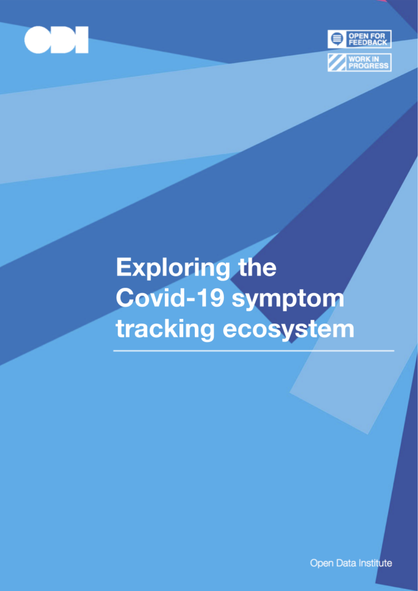



# **Exploring the Covid-19 symptom** tracking ecosystem

**Open Data Institute**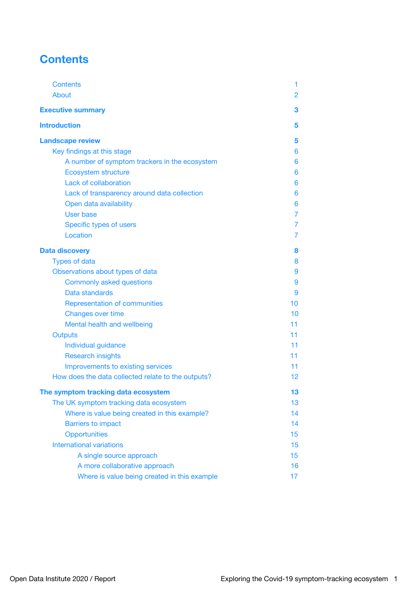# <span id="page-1-0"></span>**Contents**

| <b>Contents</b>                                    | 1              |
|----------------------------------------------------|----------------|
| About                                              | 2              |
| <b>Executive summary</b>                           | 3              |
| <b>Introduction</b>                                | 5              |
| <b>Landscape review</b>                            | 5              |
| Key findings at this stage                         | 6              |
| A number of symptom trackers in the ecosystem      | 6              |
| <b>Ecosystem structure</b>                         | 6              |
| Lack of collaboration                              | 6              |
| Lack of transparency around data collection        | 6              |
| Open data availability                             | 6              |
| User base                                          | 7              |
| Specific types of users                            | $\overline{7}$ |
| Location                                           | 7              |
| <b>Data discovery</b>                              | 8              |
| <b>Types of data</b>                               | 8              |
| Observations about types of data                   | 9              |
| Commonly asked questions                           | 9              |
| Data standards                                     | 9              |
| Representation of communities                      | 10             |
| Changes over time                                  | 10             |
| Mental health and wellbeing                        | 11             |
| <b>Outputs</b>                                     | 11             |
| Individual guidance                                | 11             |
| <b>Research insights</b>                           | 11             |
| Improvements to existing services                  | 11             |
| How does the data collected relate to the outputs? | 12.            |
| The symptom tracking data ecosystem                | 13             |
| The UK symptom tracking data ecosystem             | 13             |
| Where is value being created in this example?      | 14             |
| <b>Barriers to impact</b>                          | 14             |
| Opportunities                                      | 15             |
| International variations                           | 15             |
| A single source approach                           | 15             |
| A more collaborative approach                      | 16             |
| Where is value being created in this example       | 17             |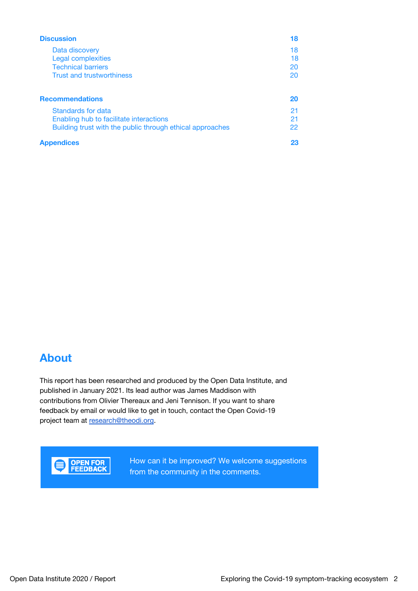| <b>Discussion</b>                                         | 18 |
|-----------------------------------------------------------|----|
| Data discovery                                            | 18 |
| <b>Legal complexities</b>                                 | 18 |
| <b>Technical barriers</b>                                 | 20 |
| <b>Trust and trustworthiness</b>                          | 20 |
| <b>Recommendations</b>                                    | 20 |
| Standards for data                                        | 21 |
| Enabling hub to facilitate interactions                   | 21 |
| Building trust with the public through ethical approaches | 22 |
| <b>Appendices</b>                                         | 23 |

## <span id="page-2-0"></span>**About**

This report has been researched and produced by the Open Data Institute, and published in January 2021. Its lead author was James Maddison with contributions from Olivier Thereaux and Jeni Tennison. If you want to share feedback by email or would like to get in touch, contact the Open Covid-19 project team at [research@theodi.org](mailto:research@theodi.org).



How can it be improved? We welcome suggestions from the community in the comments.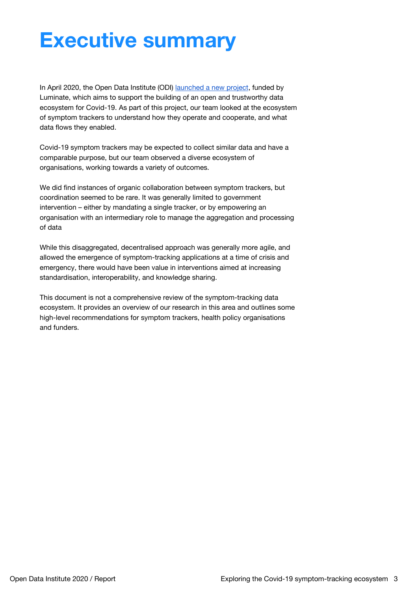# <span id="page-3-0"></span>**Executive summary**

In April 2020, the Open Data Institute (ODI) **[launched](https://theodi.org/project/building-an-open-and-trustworthy-data-ecosystem-for-covid-19/) a new project**, funded by Luminate, which aims to support the building of an open and trustworthy data ecosystem for Covid-19. As part of this project, our team looked at the ecosystem of symptom trackers to understand how they operate and cooperate, and what data flows they enabled.

Covid-19 symptom trackers may be expected to collect similar data and have a comparable purpose, but our team observed a diverse ecosystem of organisations, working towards a variety of outcomes.

We did find instances of organic collaboration between symptom trackers, but coordination seemed to be rare. It was generally limited to government intervention – either by mandating a single tracker, or by empowering an organisation with an intermediary role to manage the aggregation and processing of data

While this disaggregated, decentralised approach was generally more agile, and allowed the emergence of symptom-tracking applications at a time of crisis and emergency, there would have been value in interventions aimed at increasing standardisation, interoperability, and knowledge sharing.

This document is not a comprehensive review of the symptom-tracking data ecosystem. It provides an overview of our research in this area and outlines some high-level recommendations for symptom trackers, health policy organisations and funders.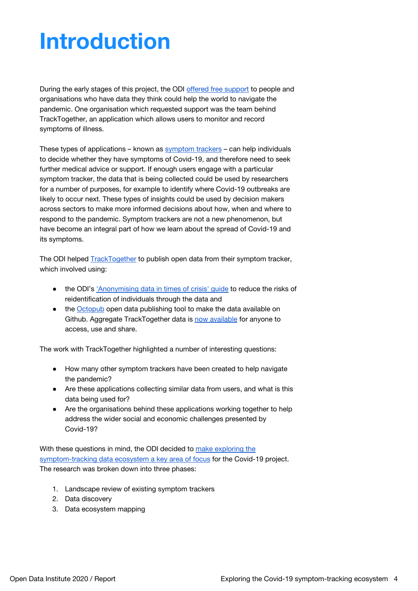# **Introduction**

During the early stages of this project, the ODI offered free [support](https://theodi.org/article/need-help-to-share-data-to-tackle-the-coronavirus-crisis-get-in-touch/) to people and organisations who have data they think could help the world to navigate the pandemic. One organisation which requested support was the team behind TrackTogether, an application which allows users to monitor and record symptoms of illness.

These types of applications – known as [symptom](https://theodi.org/article/spot-the-difference-explaining-the-covid-19-apps/) trackers – can help individuals to decide whether they have symptoms of Covid-19, and therefore need to seek further medical advice or support. If enough users engage with a particular symptom tracker, the data that is being collected could be used by researchers for a number of purposes, for example to identify where Covid-19 outbreaks are likely to occur next. These types of insights could be used by decision makers across sectors to make more informed decisions about how, when and where to respond to the pandemic. Symptom trackers are not a new phenomenon, but have become an integral part of how we learn about the spread of Covid-19 and its symptoms.

The ODI helped **[TrackTogether](https://theodi.org/article/tracktogether-and-the-odi-covid-19-project/)** to publish open data from their symptom tracker, which involved using:

- the ODI's ['Anonymising](https://theodi.org/article/anonymising-data-in-times-of-crisis/) data in times of crisis' guide to reduce the risks of reidentification of individuals through the data and
- the [Octopub](https://octopub.io/) open data publishing tool to make the data available on Github. Aggregate TrackTogether data is now [available](https://github.com/tracktogether/opendata) for anyone to access, use and share.

The work with TrackTogether highlighted a number of interesting questions:

- How many other symptom trackers have been created to help navigate the pandemic?
- Are these applications collecting similar data from users, and what is this data being used for?
- Are the organisations behind these applications working together to help address the wider social and economic challenges presented by Covid-19?

With these questions in mind, the ODI decided to make [exploring](https://theodi.org/article/odis-covid-19-research-identifies-symptom-tracking-as-a-key-area-for-attention/) the [symptom-tracking](https://theodi.org/article/odis-covid-19-research-identifies-symptom-tracking-as-a-key-area-for-attention/) data ecosystem a key area of focus for the Covid-19 project. The research was broken down into three phases:

- 1. Landscape review of existing symptom trackers
- 2. Data discovery
- 3. Data ecosystem mapping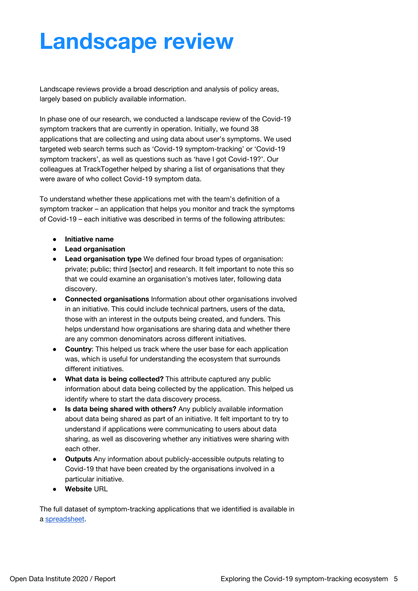# **Landscape review**

Landscape reviews provide a broad description and analysis of policy areas, largely based on publicly available information.

In phase one of our research, we conducted a landscape review of the Covid-19 symptom trackers that are currently in operation. Initially, we found 38 applications that are collecting and using data about user's symptoms. We used targeted web search terms such as 'Covid-19 symptom-tracking' or 'Covid-19 symptom trackers', as well as questions such as 'have I got Covid-19?'. Our colleagues at TrackTogether helped by sharing a list of organisations that they were aware of who collect Covid-19 symptom data.

To understand whether these applications met with the team's definition of a symptom tracker – an application that helps you monitor and track the symptoms of Covid-19 – each initiative was described in terms of the following attributes:

- **● Initiative name**
- **Lead organisation**
- **Lead organisation type** We defined four broad types of organisation: private; public; third [sector] and research. It felt important to note this so that we could examine an organisation's motives later, following data discovery.
- **Connected organisations** Information about other organisations involved in an initiative. This could include technical partners, users of the data, those with an interest in the outputs being created, and funders. This helps understand how organisations are sharing data and whether there are any common denominators across different initiatives.
- **Country**: This helped us track where the user base for each application was, which is useful for understanding the ecosystem that surrounds different initiatives.
- **What data is being collected?** This attribute captured any public information about data being collected by the application. This helped us identify where to start the data discovery process.
- **Is data being shared with others?** Any publicly available information about data being shared as part of an initiative. It felt important to try to understand if applications were communicating to users about data sharing, as well as discovering whether any initiatives were sharing with each other.
- **Outputs** Any information about publicly-accessible outputs relating to Covid-19 that have been created by the organisations involved in a particular initiative.
- **Website URL**

The full dataset of symptom-tracking applications that we identified is available in a [spreadsheet](https://docs.google.com/spreadsheets/d/1ryjcdPTmB02agyu9ek6gnB0786RuiDeUQ9eB1IvNJQc/edit#gid=833802341).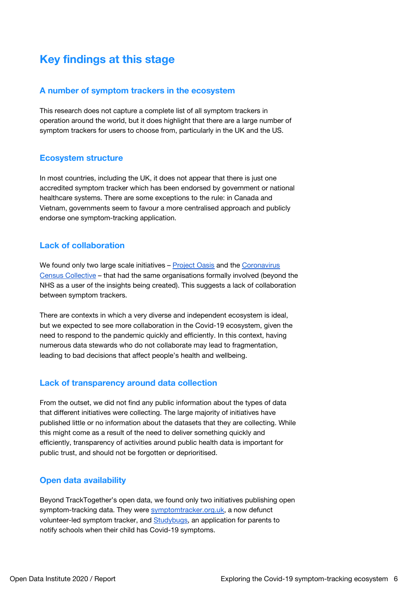# <span id="page-6-0"></span>**Key findings at this stage**

#### **A number of symptom trackers in the ecosystem**

This research does not capture a complete list of all symptom trackers in operation around the world, but it does highlight that there are a large number of symptom trackers for users to choose from, particularly in the UK and the US.

#### <span id="page-6-1"></span>**Ecosystem structure**

In most countries, including the UK, it does not appear that there is just one accredited symptom tracker which has been endorsed by government or national healthcare systems. There are some exceptions to the rule: in Canada and Vietnam, governments seem to favour a more centralised approach and publicly endorse one symptom-tracking application.

#### <span id="page-6-2"></span>**Lack of collaboration**

We found only two large scale initiatives – [Project](https://www.nhsx.nhs.uk/covid-19-response/data-and-information-governance/project-oasis/) Oasis and the [Coronavirus](https://www.coronaviruscensuscollective.org/) Census [Collective](https://www.coronaviruscensuscollective.org/) – that had the same organisations formally involved (beyond the NHS as a user of the insights being created). This suggests a lack of collaboration between symptom trackers.

There are contexts in which a very diverse and independent ecosystem is ideal, but we expected to see more collaboration in the Covid-19 ecosystem, given the need to respond to the pandemic quickly and efficiently. In this context, having numerous data stewards who do not collaborate may lead to fragmentation, leading to bad decisions that affect people's health and wellbeing.

#### <span id="page-6-3"></span>**Lack of transparency around data collection**

From the outset, we did not find any public information about the types of data that different initiatives were collecting. The large majority of initiatives have published little or no information about the datasets that they are collecting. While this might come as a result of the need to deliver something quickly and efficiently, transparency of activities around public health data is important for public trust, and should not be forgotten or deprioritised.

#### <span id="page-6-4"></span>**Open data availability**

Beyond TrackTogether's open data, we found only two initiatives publishing open symptom-tracking data. They were [symptomtracker.org.uk,](http://symptomtracker.org.uk/index.html) a now defunct volunteer-led symptom tracker, and [Studybugs,](https://studybugs.com/) an application for parents to notify schools when their child has Covid-19 symptoms.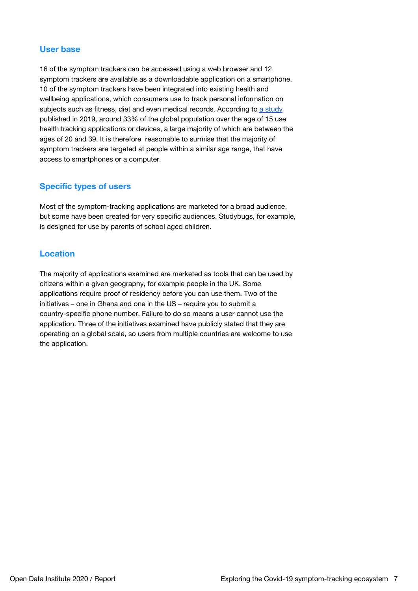#### <span id="page-7-0"></span>**User base**

16 of the symptom trackers can be accessed using a web browser and 12 symptom trackers are available as a downloadable application on a smartphone. 10 of the symptom trackers have been integrated into existing health and wellbeing applications, which consumers use to track personal information on subjects such as fitness, diet and even medical records. According to a [study](https://www.statista.com/statistics/742448/global-fitness-tracking-and-technology-by-age/) published in 2019, around 33% of the global population over the age of 15 use health tracking applications or devices, a large majority of which are between the ages of 20 and 39. It is therefore reasonable to surmise that the majority of symptom trackers are targeted at people within a similar age range, that have access to smartphones or a computer.

### **Specific types of users**

Most of the symptom-tracking applications are marketed for a broad audience, but some have been created for very specific audiences. Studybugs, for example, is designed for use by parents of school aged children.

### <span id="page-7-1"></span>**Location**

<span id="page-7-2"></span>The majority of applications examined are marketed as tools that can be used by citizens within a given geography, for example people in the UK. Some applications require proof of residency before you can use them. Two of the initiatives – one in Ghana and one in the US – require you to submit a country-specific phone number. Failure to do so means a user cannot use the application. Three of the initiatives examined have publicly stated that they are operating on a global scale, so users from multiple countries are welcome to use the application.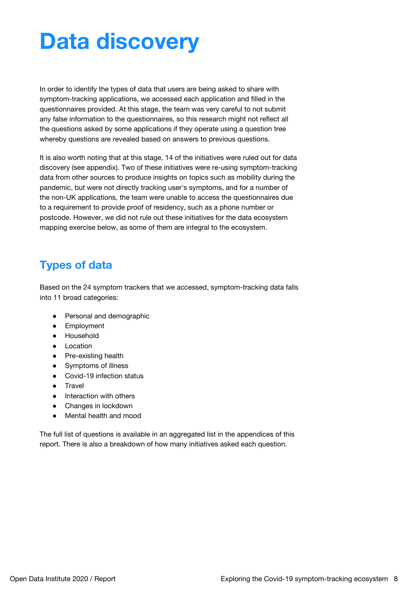# **Data discovery**

In order to identify the types of data that users are being asked to share with symptom-tracking applications, we accessed each application and filled in the questionnaires provided. At this stage, the team was very careful to not submit any false information to the questionnaires, so this research might not reflect all the questions asked by some applications if they operate using a question tree whereby questions are revealed based on answers to previous questions.

It is also worth noting that at this stage, 14 of the initiatives were ruled out for data discovery (see appendix). Two of these initiatives were re-using symptom-tracking data from other sources to produce insights on topics such as mobility during the pandemic, but were not directly tracking user's symptoms, and for a number of the non-UK applications, the team were unable to access the questionnaires due to a requirement to provide proof of residency, such as a phone number or postcode. However, we did not rule out these initiatives for the data ecosystem mapping exercise below, as some of them are integral to the ecosystem.

# <span id="page-8-0"></span>**Types of data**

Based on the 24 symptom trackers that we accessed, symptom-tracking data falls into 11 broad categories:

- Personal and demographic
- Employment
- Household
- Location
- Pre-existing health
- Symptoms of illness
- Covid-19 infection status
- **Travel**
- Interaction with others
- Changes in lockdown
- Mental health and mood

<span id="page-8-1"></span>The full list of questions is available in an aggregated list in the appendices of this report. There is also a breakdown of how many initiatives asked each question.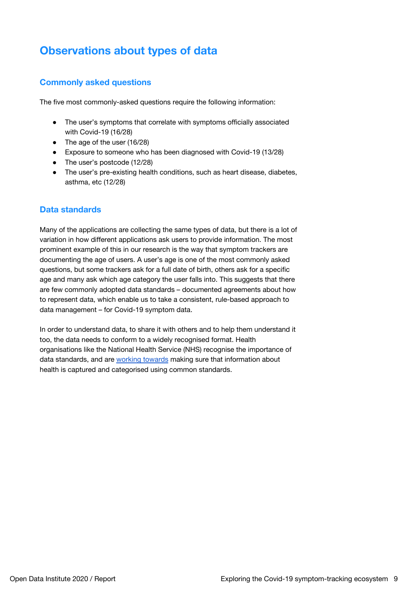# **Observations about types of data**

## <span id="page-9-0"></span>**Commonly asked questions**

The five most commonly-asked questions require the following information:

- The user's symptoms that correlate with symptoms officially associated with Covid-19 (16/28)
- The age of the user (16/28)
- Exposure to someone who has been diagnosed with Covid-19 (13/28)
- The user's postcode (12/28)
- The user's pre-existing health conditions, such as heart disease, diabetes, asthma, etc (12/28)

### <span id="page-9-1"></span>**Data standards**

Many of the applications are collecting the same types of data, but there is a lot of variation in how different applications ask users to provide information. The most prominent example of this in our research is the way that symptom trackers are documenting the age of users. A user's age is one of the most commonly asked questions, but some trackers ask for a full date of birth, others ask for a specific age and many ask which age category the user falls into. This suggests that there are few commonly adopted data standards – documented agreements about how to represent data, which enable us to take a consistent, rule-based approach to data management – for Covid-19 symptom data.

<span id="page-9-2"></span>In order to understand data, to share it with others and to help them understand it too, the data needs to conform to a widely recognised format. Health organisations like the National Health Service (NHS) recognise the importance of data standards, and are working [towards](https://digital.nhs.uk/data-and-information/data-insights-and-statistics/data-standards-team) making sure that information about health is captured and categorised using common standards.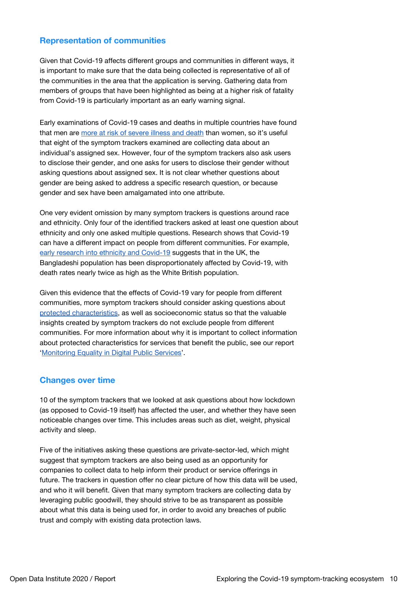### **Representation of communities**

Given that Covid-19 affects different groups and communities in different ways, it is important to make sure that the data being collected is representative of all of the communities in the area that the application is serving. Gathering data from members of groups that have been highlighted as being at a higher risk of fatality from Covid-19 is particularly important as an early warning signal.

Early examinations of Covid-19 cases and deaths in multiple countries have found that men are more at risk of [severe](https://coronavirusexplained.ukri.org/en/article/cad0007/) illness and death than women, so it's useful that eight of the symptom trackers examined are collecting data about an individual's assigned sex. However, four of the symptom trackers also ask users to disclose their gender, and one asks for users to disclose their gender without asking questions about assigned sex. It is not clear whether questions about gender are being asked to address a specific research question, or because gender and sex have been amalgamated into one attribute.

One very evident omission by many symptom trackers is questions around race and ethnicity. Only four of the identified trackers asked at least one question about ethnicity and only one asked multiple questions. Research shows that Covid-19 can have a different impact on people from different communities. For example, early research into ethnicity and [Covid-19](https://www.bmj.com/content/369/bmj.m2282) suggests that in the UK, the Bangladeshi population has been disproportionately affected by Covid-19, with death rates nearly twice as high as the White British population.

Given this evidence that the effects of Covid-19 vary for people from different communities, more symptom trackers should consider asking questions about protected [characteristics](https://www.equalityhumanrights.com/en/equality-act/protected-characteristics), as well as socioeconomic status so that the valuable insights created by symptom trackers do not exclude people from different communities. For more information about why it is important to collect information about protected characteristics for services that benefit the public, see our report ['Monitoring](https://theodi.org/article/monitoring-equality-in-digital-public-services-report/) Equality in Digital Public Services'.

#### <span id="page-10-0"></span>**Changes over time**

10 of the symptom trackers that we looked at ask questions about how lockdown (as opposed to Covid-19 itself) has affected the user, and whether they have seen noticeable changes over time. This includes areas such as diet, weight, physical activity and sleep.

Five of the initiatives asking these questions are private-sector-led, which might suggest that symptom trackers are also being used as an opportunity for companies to collect data to help inform their product or service offerings in future. The trackers in question offer no clear picture of how this data will be used, and who it will benefit. Given that many symptom trackers are collecting data by leveraging public goodwill, they should strive to be as transparent as possible about what this data is being used for, in order to avoid any breaches of public trust and comply with existing data protection laws.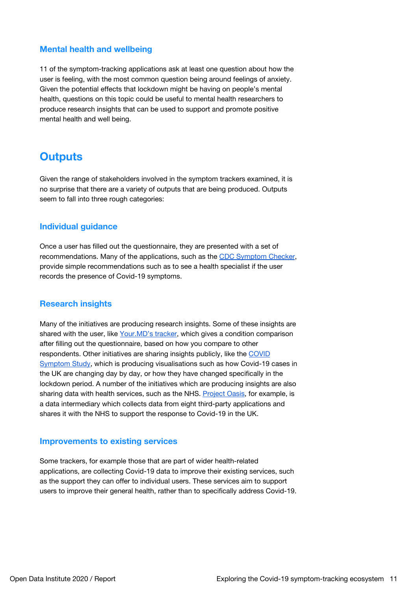### <span id="page-11-0"></span>**Mental health and wellbeing**

11 of the symptom-tracking applications ask at least one question about how the user is feeling, with the most common question being around feelings of anxiety. Given the potential effects that lockdown might be having on people's mental health, questions on this topic could be useful to mental health researchers to produce research insights that can be used to support and promote positive mental health and well being.

## <span id="page-11-1"></span>**Outputs**

Given the range of stakeholders involved in the symptom trackers examined, it is no surprise that there are a variety of outputs that are being produced. Outputs seem to fall into three rough categories:

### <span id="page-11-2"></span>**Individual guidance**

Once a user has filled out the questionnaire, they are presented with a set of recommendations. Many of the applications, such as the CDC [Symptom](https://www.cdc.gov/coronavirus/2019-ncov/symptoms-testing/symptoms.html) Checker, provide simple recommendations such as to see a health specialist if the user records the presence of Covid-19 symptoms.

## <span id="page-11-3"></span>**Research insights**

Many of the initiatives are producing research insights. Some of these insights are shared with the user, like [Your.MD's](https://www.your.md/) tracker, which gives a condition comparison after filling out the questionnaire, based on how you compare to other respondents. Other initiatives are sharing insights publicly, like the [COVID](https://covid.joinzoe.com/data) [Symptom](https://covid.joinzoe.com/data) Study, which is producing visualisations such as how Covid-19 cases in the UK are changing day by day, or how they have changed specifically in the lockdown period. A number of the initiatives which are producing insights are also sharing data with health services, such as the NHS. [Project](https://www.nhsx.nhs.uk/covid-19-response/data-and-information-governance/project-oasis/) Oasis, for example, is a data intermediary which collects data from eight third-party applications and shares it with the NHS to support the response to Covid-19 in the UK.

#### <span id="page-11-4"></span>**Improvements to existing services**

<span id="page-11-5"></span>Some trackers, for example those that are part of wider health-related applications, are collecting Covid-19 data to improve their existing services, such as the support they can offer to individual users. These services aim to support users to improve their general health, rather than to specifically address Covid-19.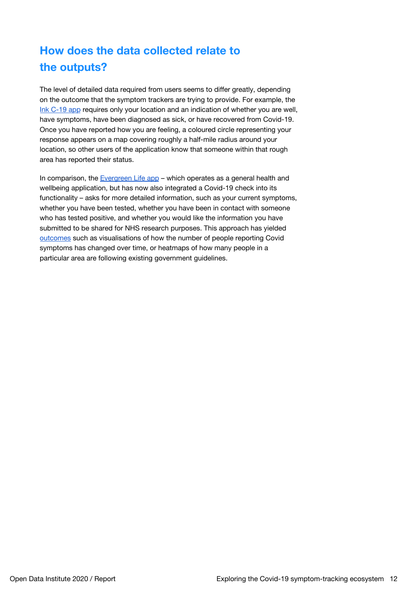# **How does the data collected relate to the outputs?**

The level of detailed data required from users seems to differ greatly, depending on the outcome that the symptom trackers are trying to provide. For example, the Ink [C-19](https://inkc19.app/) app requires only your location and an indication of whether you are well, have symptoms, have been diagnosed as sick, or have recovered from Covid-19. Once you have reported how you are feeling, a coloured circle representing your response appears on a map covering roughly a half-mile radius around your location, so other users of the application know that someone within that rough area has reported their status.

<span id="page-12-0"></span>In comparison, the [Evergreen](https://www.evergreen-life.co.uk/) Life app - which operates as a general health and wellbeing application, but has now also integrated a Covid-19 check into its functionality – asks for more detailed information, such as your current symptoms, whether you have been tested, whether you have been in contact with someone who has tested positive, and whether you would like the information you have submitted to be shared for NHS research purposes. This approach has yielded [outcomes](https://www.evergreen-life.co.uk/insights/covid) such as visualisations of how the number of people reporting Covid symptoms has changed over time, or heatmaps of how many people in a particular area are following existing government guidelines.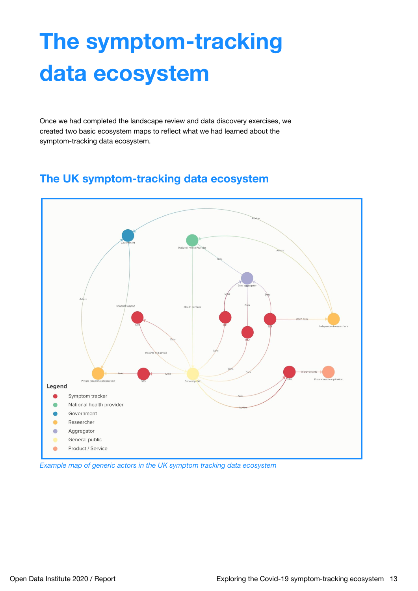# **The symptom-tracking data ecosystem**

Once we had completed the landscape review and data discovery exercises, we created two basic ecosystem maps to reflect what we had learned about the symptom-tracking data ecosystem.

# <span id="page-13-0"></span>**The UK symptom-tracking data ecosystem**



*Example map of generic actors in the UK symptom tracking data ecosystem*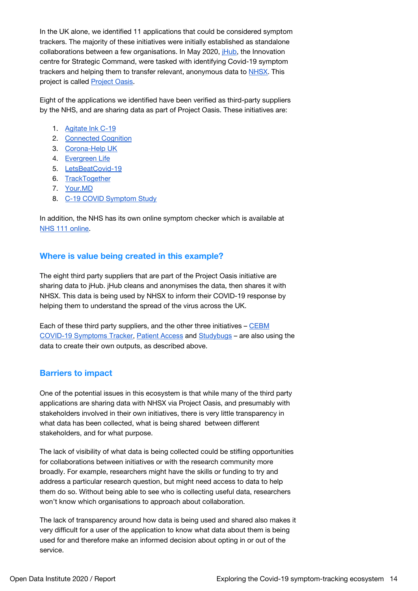In the UK alone, we identified 11 applications that could be considered symptom trackers. The majority of these initiatives were initially established as standalone collaborations between a few organisations. In May 2020, *iHub*, the Innovation centre for Strategic Command, were tasked with identifying Covid-19 symptom trackers and helping them to transfer relevant, anonymous data to [NHSX.](https://www.nhsx.nhs.uk/) This project is called [Project](https://www.nhsx.nhs.uk/covid-19-response/data-and-covid-19/project-oasis/) Oasis.

Eight of the applications we identified have been verified as third-party suppliers by the NHS, and are sharing data as part of Project Oasis. These initiatives are:

- 1. [Agitate](https://inkc19.app/) Ink C-19
- 2. [Connected](https://connectedcognition.org/) Cognition
- 3. [Corona-Help](https://corona-help.uk/) UK
- 4. [Evergreen](https://www.evergreen-life.co.uk/covid-19-heat-map) Life
- 5. [LetsBeatCovid-19](https://letsbeatcovid.net/)
- 6. [TrackTogether](https://tracktogether.org/)
- 7. [Your.MD](https://www.your.md/)
- 8. C-19 COVID [Symptom](https://covid.joinzoe.com/) Study

In addition, the NHS has its own online symptom checker which is available at NHS 111 [online.](https://111.nhs.uk/covid-19/)

#### <span id="page-14-0"></span>**Where is value being created in this example?**

The eight third party suppliers that are part of the Project Oasis initiative are sharing data to jHub. jHub cleans and anonymises the data, then shares it with NHSX. This data is being used by NHSX to inform their COVID-19 response by helping them to understand the spread of the virus across the UK.

Each of these third party suppliers, and the other three initiatives – [CEBM](https://www.cebm.net/covid-19/covid-19-signs-and-symptoms-tracker/) COVID-19 [Symptoms](https://www.cebm.net/covid-19/covid-19-signs-and-symptoms-tracker/) Tracker, Patient [Access](https://www.patientaccess.com/coronavirus) and [Studybugs](https://studybugs.com/) – are also using the data to create their own outputs, as described above.

#### <span id="page-14-1"></span>**Barriers to impact**

One of the potential issues in this ecosystem is that while many of the third party applications are sharing data with NHSX via Project Oasis, and presumably with stakeholders involved in their own initiatives, there is very little transparency in what data has been collected, what is being shared between different stakeholders, and for what purpose.

The lack of visibility of what data is being collected could be stifling opportunities for collaborations between initiatives or with the research community more broadly. For example, researchers might have the skills or funding to try and address a particular research question, but might need access to data to help them do so. Without being able to see who is collecting useful data, researchers won't know which organisations to approach about collaboration.

The lack of transparency around how data is being used and shared also makes it very difficult for a user of the application to know what data about them is being used for and therefore make an informed decision about opting in or out of the service.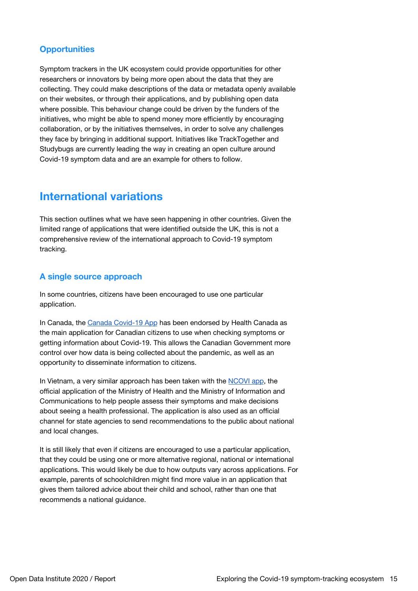## **Opportunities**

Symptom trackers in the UK ecosystem could provide opportunities for other researchers or innovators by being more open about the data that they are collecting. They could make descriptions of the data or metadata openly available on their websites, or through their applications, and by publishing open data where possible. This behaviour change could be driven by the funders of the initiatives, who might be able to spend money more efficiently by encouraging collaboration, or by the initiatives themselves, in order to solve any challenges they face by bringing in additional support. Initiatives like TrackTogether and Studybugs are currently leading the way in creating an open culture around Covid-19 symptom data and are an example for others to follow.

## <span id="page-15-0"></span>**International variations**

This section outlines what we have seen happening in other countries. Given the limited range of applications that were identified outside the UK, this is not a comprehensive review of the international approach to Covid-19 symptom tracking.

## **A single source approach**

In some countries, citizens have been encouraged to use one particular application.

In Canada, the Canada [Covid-19](https://www.thrive.health/canada-covid19-app) App has been endorsed by Health Canada as the main application for Canadian citizens to use when checking symptoms or getting information about Covid-19. This allows the Canadian Government more control over how data is being collected about the pandemic, as well as an opportunity to disseminate information to citizens.

In Vietnam, a very similar approach has been taken with the [NCOVI](https://ncovi.vnpt.vn/) app, the official application of the Ministry of Health and the Ministry of Information and Communications to help people assess their symptoms and make decisions about seeing a health professional. The application is also used as an official channel for state agencies to send recommendations to the public about national and local changes.

It is still likely that even if citizens are encouraged to use a particular application, that they could be using one or more alternative regional, national or international applications. This would likely be due to how outputs vary across applications. For example, parents of schoolchildren might find more value in an application that gives them tailored advice about their child and school, rather than one that recommends a national guidance.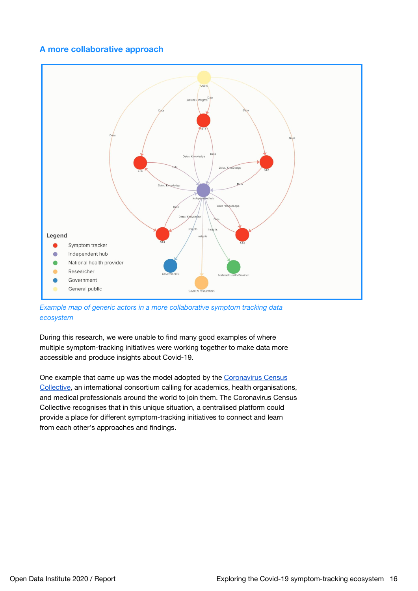## **A more collaborative approach**



*Example map of generic actors in a more collaborative symptom tracking data ecosystem*

During this research, we were unable to find many good examples of where multiple symptom-tracking initiatives were working together to make data more accessible and produce insights about Covid-19.

One example that came up was the model adopted by the [Coronavirus](https://www.coronaviruscensuscollective.org/) Census [Collective,](https://www.coronaviruscensuscollective.org/) an international consortium calling for academics, health organisations, and medical professionals around the world to join them. The Coronavirus Census Collective recognises that in this unique situation, a centralised platform could provide a place for different symptom-tracking initiatives to connect and learn from each other's approaches and findings.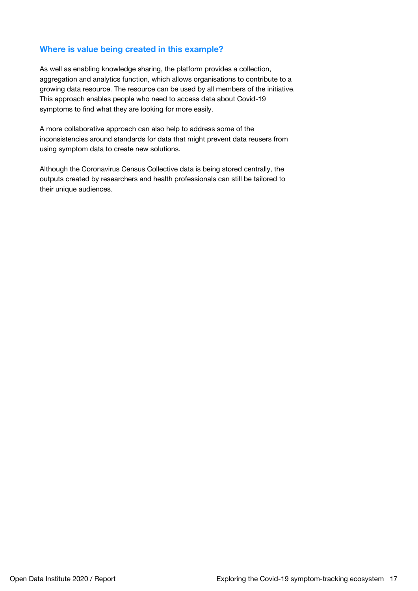## **Where is value being created in this example?**

As well as enabling knowledge sharing, the platform provides a collection, aggregation and analytics function, which allows organisations to contribute to a growing data resource. The resource can be used by all members of the initiative. This approach enables people who need to access data about Covid-19 symptoms to find what they are looking for more easily.

A more collaborative approach can also help to address some of the inconsistencies around standards for data that might prevent data reusers from using symptom data to create new solutions.

Although the Coronavirus Census Collective data is being stored centrally, the outputs created by researchers and health professionals can still be tailored to their unique audiences.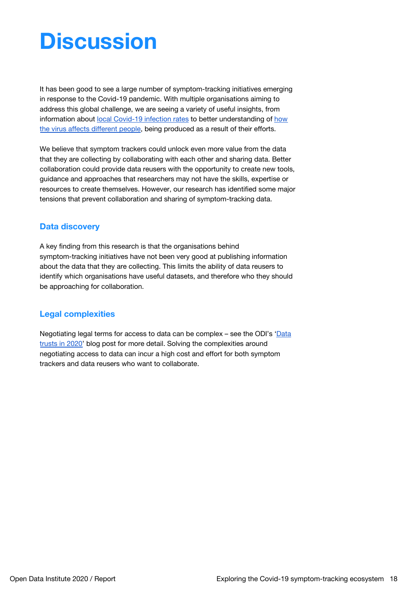# <span id="page-18-1"></span>**Discussion**

It has been good to see a large number of symptom-tracking initiatives emerging in response to the Covid-19 pandemic. With multiple organisations aiming to address this global challenge, we are seeing a variety of useful insights, from information about local [Covid-19](https://covid.joinzoe.com/data) infection rates to better understanding of [how](https://theconversation.com/our-free-coronavirus-symptom-tracking-app-has-been-used-by-two-million-people-heres-what-were-learning-134923) the virus affects [different](https://theconversation.com/our-free-coronavirus-symptom-tracking-app-has-been-used-by-two-million-people-heres-what-were-learning-134923) people, being produced as a result of their efforts.

We believe that symptom trackers could unlock even more value from the data that they are collecting by collaborating with each other and sharing data. Better collaboration could provide data reusers with the opportunity to create new tools, guidance and approaches that researchers may not have the skills, expertise or resources to create themselves. However, our research has identified some major tensions that prevent collaboration and sharing of symptom-tracking data.

## **Data discovery**

A key finding from this research is that the organisations behind symptom-tracking initiatives have not been very good at publishing information about the data that they are collecting. This limits the ability of data reusers to identify which organisations have useful datasets, and therefore who they should be approaching for collaboration.

## <span id="page-18-0"></span>**Legal complexities**

Negotiating legal terms for access to data can be complex – see the ODI's ['Data](https://theodi.org/article/data-trusts-in-2020/) [trusts](https://theodi.org/article/data-trusts-in-2020/) in 2020' blog post for more detail. Solving the complexities around negotiating access to data can incur a high cost and effort for both symptom trackers and data reusers who want to collaborate.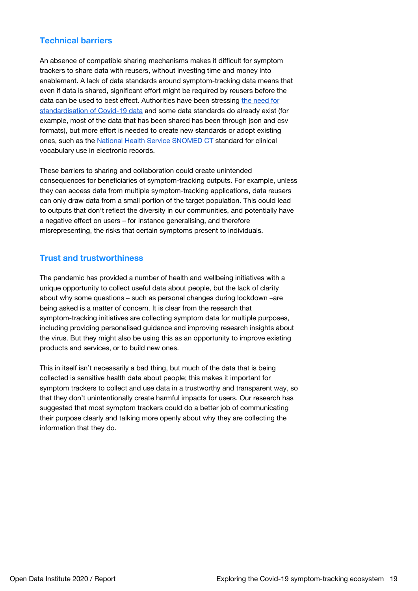## **Technical barriers**

An absence of compatible sharing mechanisms makes it difficult for symptom trackers to share data with reusers, without investing time and money into enablement. A lack of data standards around symptom-tracking data means that even if data is shared, significant effort might be required by reusers before the data can be used to best effect. Authorities have been stressing the [need](https://www.thelancet.com/journals/laninf/article/PIIS1473-3099(20)30635-6/fulltext) for [standardisation](https://www.thelancet.com/journals/laninf/article/PIIS1473-3099(20)30635-6/fulltext) of Covid-19 data and some data standards do already exist (for example, most of the data that has been shared has been through json and csv formats), but more effort is needed to create new standards or adopt existing ones, such as the National Health Service [SNOMED](https://digital.nhs.uk/services/terminology-and-classifications/snomed-ct) CT standard for clinical vocabulary use in electronic records.

These barriers to sharing and collaboration could create unintended consequences for beneficiaries of symptom-tracking outputs. For example, unless they can access data from multiple symptom-tracking applications, data reusers can only draw data from a small portion of the target population. This could lead to outputs that don't reflect the diversity in our communities, and potentially have a negative effect on users – for instance generalising, and therefore misrepresenting, the risks that certain symptoms present to individuals.

### **Trust and trustworthiness**

The pandemic has provided a number of health and wellbeing initiatives with a unique opportunity to collect useful data about people, but the lack of clarity about why some questions – such as personal changes during lockdown –are being asked is a matter of concern. It is clear from the research that symptom-tracking initiatives are collecting symptom data for multiple purposes, including providing personalised guidance and improving research insights about the virus. But they might also be using this as an opportunity to improve existing products and services, or to build new ones.

This in itself isn't necessarily a bad thing, but much of the data that is being collected is sensitive health data about people; this makes it important for symptom trackers to collect and use data in a trustworthy and transparent way, so that they don't unintentionally create harmful impacts for users. Our research has suggested that most symptom trackers could do a better job of communicating their purpose clearly and talking more openly about why they are collecting the information that they do.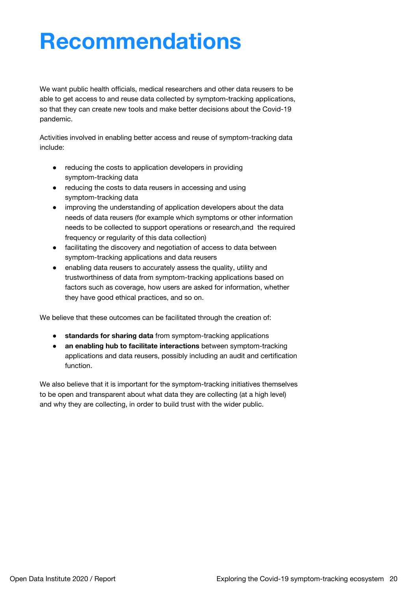# **Recommendations**

We want public health officials, medical researchers and other data reusers to be able to get access to and reuse data collected by symptom-tracking applications, so that they can create new tools and make better decisions about the Covid-19 pandemic.

Activities involved in enabling better access and reuse of symptom-tracking data include:

- reducing the costs to application developers in providing symptom-tracking data
- reducing the costs to data reusers in accessing and using symptom-tracking data
- improving the understanding of application developers about the data needs of data reusers (for example which symptoms or other information needs to be collected to support operations or research,and the required frequency or regularity of this data collection)
- facilitating the discovery and negotiation of access to data between symptom-tracking applications and data reusers
- enabling data reusers to accurately assess the quality, utility and trustworthiness of data from symptom-tracking applications based on factors such as coverage, how users are asked for information, whether they have good ethical practices, and so on.

We believe that these outcomes can be facilitated through the creation of:

- **standards for sharing data** from symptom-tracking applications
- **an enabling hub to facilitate interactions** between symptom-tracking applications and data reusers, possibly including an audit and certification function.

We also believe that it is important for the symptom-tracking initiatives themselves to be open and transparent about what data they are collecting (at a high level) and why they are collecting, in order to build trust with the wider public.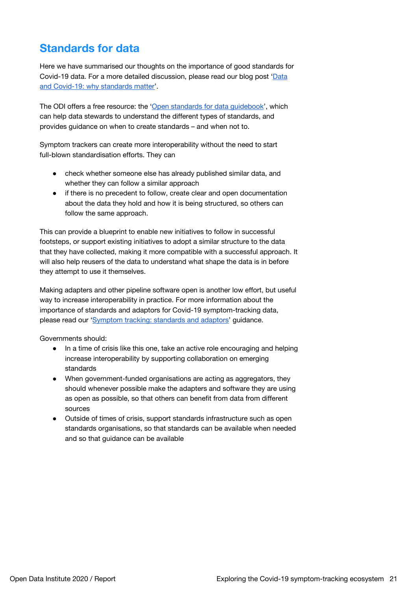# **Standards for data**

Here we have summarised our thoughts on the importance of good standards for Covid-19 data. For a more detailed discussion, please read our blog post ['Data](https://theodi.org/article/data-and-covid-19-why-standards-matter/) and Covid-19: why [standards](https://theodi.org/article/data-and-covid-19-why-standards-matter/) matter'.

The ODI offers a free resource: the 'Open standards for data [guidebook](https://standards.theodi.org/)', which can help data stewards to understand the different types of standards, and provides guidance on when to create standards – and when not to.

Symptom trackers can create more interoperability without the need to start full-blown standardisation efforts. They can

- check whether someone else has already published similar data, and whether they can follow a similar approach
- if there is no precedent to follow, create clear and open documentation about the data they hold and how it is being structured, so others can follow the same approach.

This can provide a blueprint to enable new initiatives to follow in successful footsteps, or support existing initiatives to adopt a similar structure to the data that they have collected, making it more compatible with a successful approach. It will also help reusers of the data to understand what shape the data is in before they attempt to use it themselves.

Making adapters and other pipeline software open is another low effort, but useful way to increase interoperability in practice. For more information about the importance of standards and adaptors for Covid-19 symptom-tracking data, please read our 'Symptom tracking: [standards](https://docs.google.com/document/d/1YBIyc8J3Tprj4_6kvU3mtDlCZSPm9UtGfefuJPn7Kzg/edit?ts=5f4e20cd) and adaptors' guidance.

Governments should:

- In a time of crisis like this one, take an active role encouraging and helping increase interoperability by supporting collaboration on emerging standards
- When government-funded organisations are acting as aggregators, they should whenever possible make the adapters and software they are using as open as possible, so that others can benefit from data from different sources
- Outside of times of crisis, support standards infrastructure such as open standards organisations, so that standards can be available when needed and so that guidance can be available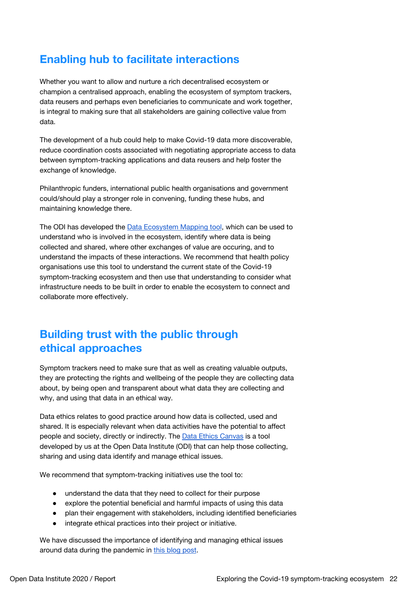## **Enabling hub to facilitate interactions**

Whether you want to allow and nurture a rich decentralised ecosystem or champion a centralised approach, enabling the ecosystem of symptom trackers, data reusers and perhaps even beneficiaries to communicate and work together, is integral to making sure that all stakeholders are gaining collective value from data.

The development of a hub could help to make Covid-19 data more discoverable, reduce coordination costs associated with negotiating appropriate access to data between symptom-tracking applications and data reusers and help foster the exchange of knowledge.

Philanthropic funders, international public health organisations and government could/should play a stronger role in convening, funding these hubs, and maintaining knowledge there.

The ODI has developed the Data [Ecosystem](https://theodi.org/article/data-ecosystem-mapping-tool/) Mapping tool, which can be used to understand who is involved in the ecosystem, identify where data is being collected and shared, where other exchanges of value are occuring, and to understand the impacts of these interactions. We recommend that health policy organisations use this tool to understand the current state of the Covid-19 symptom-tracking ecosystem and then use that understanding to consider what infrastructure needs to be built in order to enable the ecosystem to connect and collaborate more effectively.

# **Building trust with the public through ethical approaches**

Symptom trackers need to make sure that as well as creating valuable outputs, they are protecting the rights and wellbeing of the people they are collecting data about, by being open and transparent about what data they are collecting and why, and using that data in an ethical way.

Data ethics relates to good practice around how data is collected, used and shared. It is especially relevant when data activities have the potential to affect people and society, directly or indirectly. The **Data Ethics [Canvas](https://theodi.org/article/data-ethics-canvas/)** is a tool developed by us at the Open Data Institute (ODI) that can help those collecting, sharing and using data identify and manage ethical issues.

We recommend that symptom-tracking initiatives use the tool to:

- understand the data that they need to collect for their purpose
- explore the potential beneficial and harmful impacts of using this data
- plan their engagement with stakeholders, including identified beneficiaries
- integrate ethical practices into their project or initiative.

We have discussed the importance of identifying and managing ethical issues around data during the pandemic in this [blog](https://theodi.org/article/covid-19-identifying-and-managing-ethical-issues-around-data/) post.